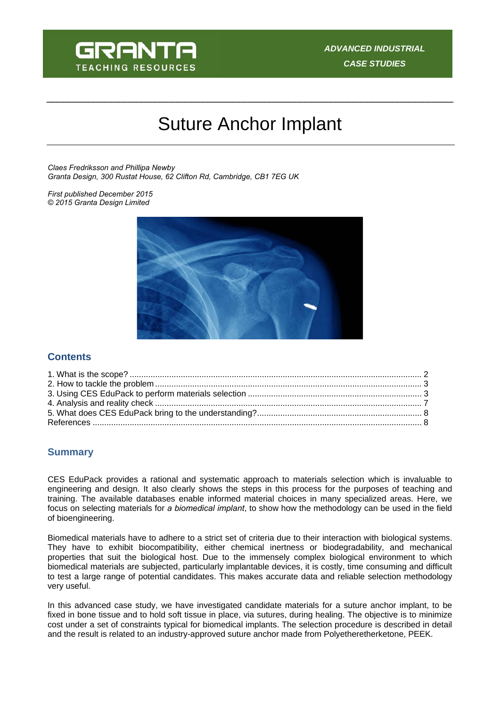

# Suture Anchor Implant

*Claes Fredriksson and Phillipa Newby Granta Design, 300 Rustat House, 62 Clifton Rd, Cambridge, CB1 7EG UK* 

*First published December 2015 © 2015 Granta Design Limited* 



## **Contents**

## **Summary**

CES EduPack provides a rational and systematic approach to materials selection which is invaluable to engineering and design. It also clearly shows the steps in this process for the purposes of teaching and training. The available databases enable informed material choices in many specialized areas. Here, we focus on selecting materials for *a biomedical implant*, to show how the methodology can be used in the field of bioengineering.

Biomedical materials have to adhere to a strict set of criteria due to their interaction with biological systems. They have to exhibit biocompatibility, either chemical inertness or biodegradability, and mechanical properties that suit the biological host. Due to the immensely complex biological environment to which biomedical materials are subjected, particularly implantable devices, it is costly, time consuming and difficult to test a large range of potential candidates. This makes accurate data and reliable selection methodology very useful.

In this advanced case study, we have investigated candidate materials for a suture anchor implant, to be fixed in bone tissue and to hold soft tissue in place, via sutures, during healing. The objective is to minimize cost under a set of constraints typical for biomedical implants. The selection procedure is described in detail and the result is related to an industry-approved suture anchor made from Polyetheretherketone, PEEK.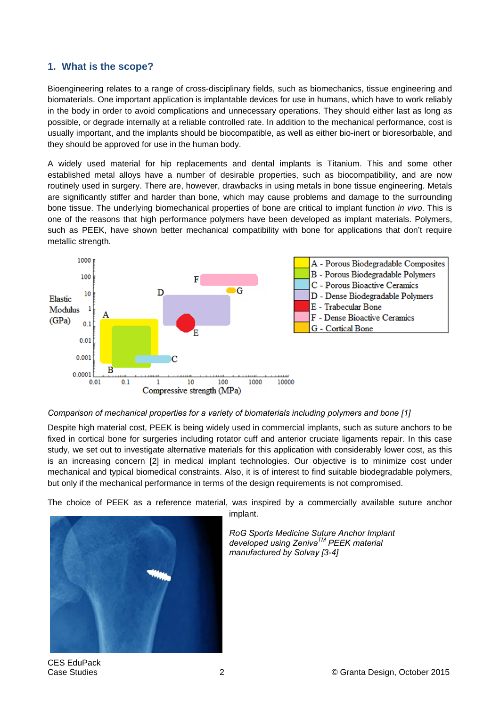## **1. What is the scope?**

Bioengineering relates to a range of cross-disciplinary fields, such as biomechanics, tissue engineering and biomaterials. One important application is implantable devices for use in humans, which have to work reliably in the body in order to avoid complications and unnecessary operations. They should either last as long as possible, or degrade internally at a reliable controlled rate. In addition to the mechanical performance, cost is usually important, and the implants should be biocompatible, as well as either bio-inert or bioresorbable, and they should be approved for use in the human body.

A widely used material for hip replacements and dental implants is Titanium. This and some other established metal alloys have a number of desirable properties, such as biocompatibility, and are now routinely used in surgery. There are, however, drawbacks in using metals in bone tissue engineering. Metals are significantly stiffer and harder than bone, which may cause problems and damage to the surrounding bone tissue. The underlying biomechanical properties of bone are critical to implant function *in vivo*. This is one of the reasons that high performance polymers have been developed as implant materials. Polymers, such as PEEK, have shown better mechanical compatibility with bone for applications that don't require metallic strength.



#### *Comparison of mechanical properties for a variety of biomaterials including polymers and bone [1]*

Despite high material cost, PEEK is being widely used in commercial implants, such as suture anchors to be fixed in cortical bone for surgeries including rotator cuff and anterior cruciate ligaments repair. In this case study, we set out to investigate alternative materials for this application with considerably lower cost, as this is an increasing concern [2] in medical implant technologies. Our objective is to minimize cost under mechanical and typical biomedical constraints. Also, it is of interest to find suitable biodegradable polymers, but only if the mechanical performance in terms of the design requirements is not compromised.

The choice of PEEK as a reference material, was inspired by a commercially available suture anchor



implant.

*RoG Sports Medicine Suture Anchor Implant developed using ZenivaTM PEEK material manufactured by Solvay [3-4]*

CES EduPack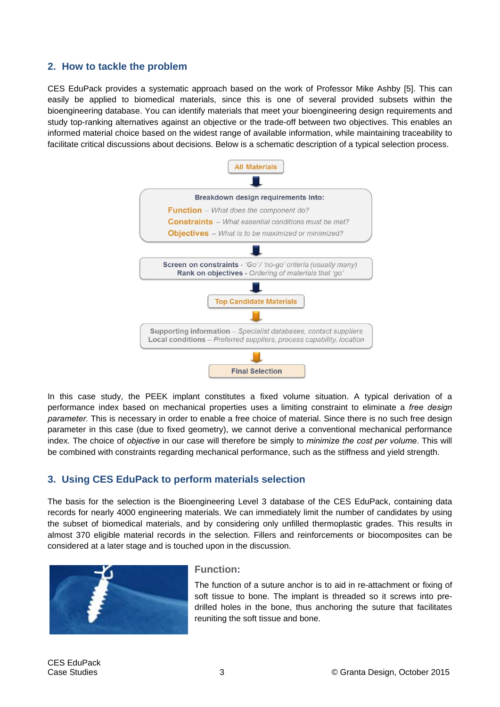## **2. How to tackle the problem**

CES EduPack provides a systematic approach based on the work of Professor Mike Ashby [5]. This can easily be applied to biomedical materials, since this is one of several provided subsets within the bioengineering database. You can identify materials that meet your bioengineering design requirements and study top-ranking alternatives against an objective or the trade-off between two objectives. This enables an informed material choice based on the widest range of available information, while maintaining traceability to facilitate critical discussions about decisions. Below is a schematic description of a typical selection process.



In this case study, the PEEK implant constitutes a fixed volume situation. A typical derivation of a performance index based on mechanical properties uses a limiting constraint to eliminate a *free design parameter.* This is necessary in order to enable a free choice of material. Since there is no such free design parameter in this case (due to fixed geometry), we cannot derive a conventional mechanical performance index. The choice of *objective* in our case will therefore be simply to *minimize the cost per volume*. This will be combined with constraints regarding mechanical performance, such as the stiffness and yield strength.

## **3. Using CES EduPack to perform materials selection**

The basis for the selection is the Bioengineering Level 3 database of the CES EduPack, containing data records for nearly 4000 engineering materials. We can immediately limit the number of candidates by using the subset of biomedical materials, and by considering only unfilled thermoplastic grades. This results in almost 370 eligible material records in the selection. Fillers and reinforcements or biocomposites can be considered at a later stage and is touched upon in the discussion.

![](_page_2_Picture_6.jpeg)

#### **Function:**

The function of a suture anchor is to aid in re-attachment or fixing of soft tissue to bone. The implant is threaded so it screws into predrilled holes in the bone, thus anchoring the suture that facilitates reuniting the soft tissue and bone.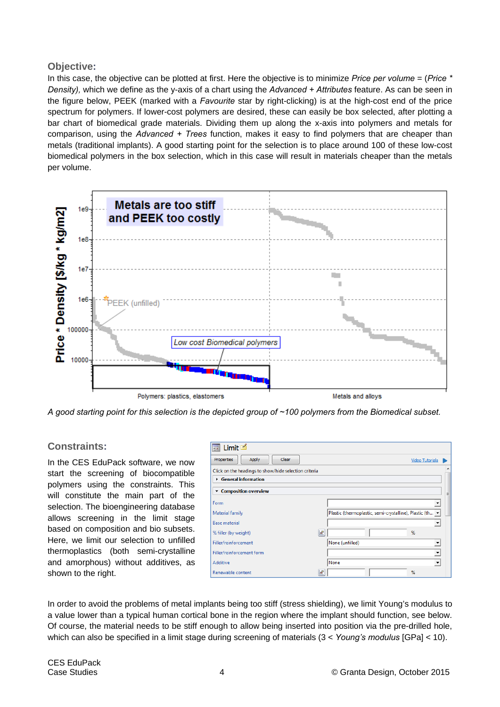## **Objective:**

In this case, the objective can be plotted at first. Here the objective is to minimize *Price per volume* = (*Price \* Density),* which we define as the y-axis of a chart using the *Advanced + Attributes* feature. As can be seen in the figure below, PEEK (marked with a *Favourite* star by right-clicking) is at the high-cost end of the price spectrum for polymers. If lower-cost polymers are desired, these can easily be box selected, after plotting a bar chart of biomedical grade materials. Dividing them up along the x-axis into polymers and metals for comparison, using the *Advanced + Trees* function, makes it easy to find polymers that are cheaper than metals (traditional implants). A good starting point for the selection is to place around 100 of these low-cost biomedical polymers in the box selection, which in this case will result in materials cheaper than the metals per volume.

![](_page_3_Figure_2.jpeg)

*A good starting point for this selection is the depicted group of ~100 polymers from the Biomedical subset.* 

## **Constraints:**

In the CES EduPack software, we now start the screening of biocompatible polymers using the constraints. This will constitute the main part of the selection. The bioengineering database allows screening in the limit stage based on composition and bio subsets. Here, we limit our selection to unfilled thermoplastics (both semi-crystalline and amorphous) without additives, as shown to the right.

| Limit $\blacksquare$<br>Ξa                            |                                                          |
|-------------------------------------------------------|----------------------------------------------------------|
| Clear<br>Apply<br>Properties                          | <b>Video Tutorials</b>                                   |
| Click on the headings to show/hide selection criteria |                                                          |
| $\triangleright$ General information                  |                                                          |
| ▼ Composition overview                                | Ξ                                                        |
| Form                                                  |                                                          |
| Material family                                       | Plastic (thermoplastic, semi-crystalline), Plastic (th v |
| <b>Base material</b>                                  | $\overline{\phantom{a}}$                                 |
| % filler (by weight)                                  | Ŀ<br>%                                                   |
| Filler/reinforcement                                  | None (unfilled)<br>$\overline{\phantom{a}}$              |
| Filler/reinforcement form                             | $\blacktriangledown$                                     |
| Additive                                              | None<br>$\blacktriangledown$                             |
| Renewable content                                     | %<br>w                                                   |

In order to avoid the problems of metal implants being too stiff (stress shielding), we limit Young's modulus to a value lower than a typical human cortical bone in the region where the implant should function, see below. Of course, the material needs to be stiff enough to allow being inserted into position via the pre-drilled hole, which can also be specified in a limit stage during screening of materials (3 < *Young's modulus* [GPa] < 10).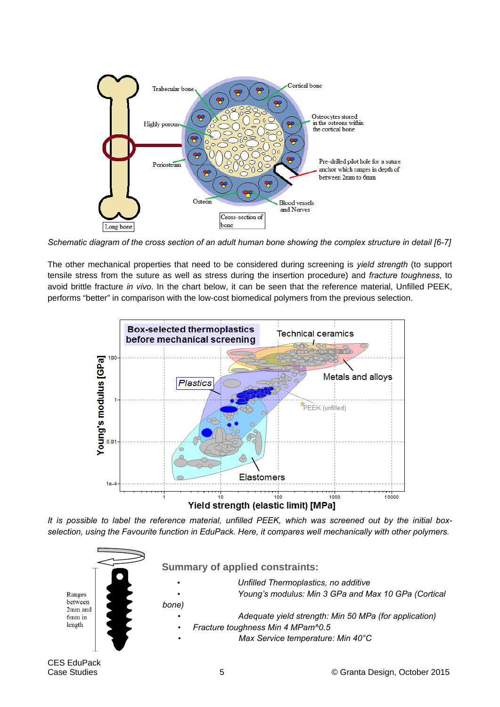![](_page_4_Figure_0.jpeg)

*Schematic diagram of the cross section of an adult human bone showing the complex structure in detail [6-7]*

The other mechanical properties that need to be considered during screening is *yield strength* (to support tensile stress from the suture as well as stress during the insertion procedure) and *fracture toughness*, to avoid brittle fracture *in vivo*. In the chart below, it can be seen that the reference material, Unfilled PEEK, performs "better" in comparison with the low-cost biomedical polymers from the previous selection.

![](_page_4_Figure_3.jpeg)

*It is possible to label the reference material, unfilled PEEK, which was screened out by the initial boxselection, using the Favourite function in EduPack. Here, it compares well mechanically with other polymers.* 

![](_page_4_Figure_5.jpeg)

CES EduPack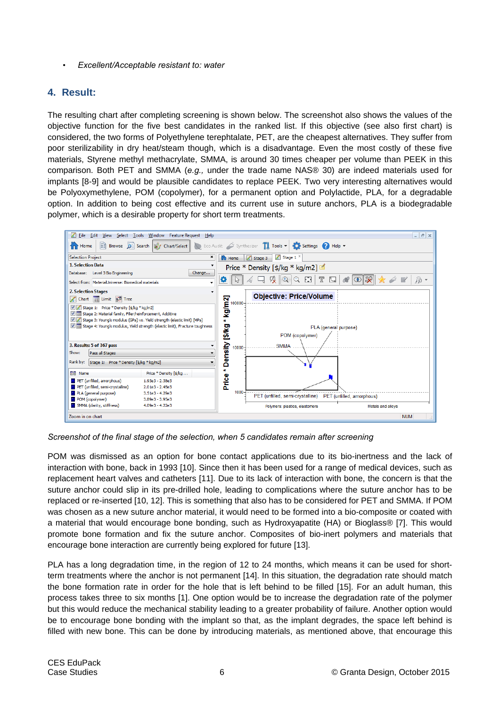• *Excellent/Acceptable resistant to: water*

## **4. Result:**

The resulting chart after completing screening is shown below. The screenshot also shows the values of the objective function for the five best candidates in the ranked list. If this objective (see also first chart) is considered, the two forms of Polyethylene terephtalate, PET, are the cheapest alternatives. They suffer from poor sterilizability in dry heat/steam though, which is a disadvantage. Even the most costly of these five materials, Styrene methyl methacrylate, SMMA, is around 30 times cheaper per volume than PEEK in this comparison. Both PET and SMMA (*e.g.,* under the trade name NAS® 30) are indeed materials used for implants [8-9] and would be plausible candidates to replace PEEK. Two very interesting alternatives would be Polyoxymethylene, POM (copolymer), for a permanent option and Polylactide, PLA, for a degradable option. In addition to being cost effective and its current use in suture anchors, PLA is a biodegradable polymer, which is a desirable property for short term treatments.

![](_page_5_Figure_3.jpeg)

*Screenshot of the final stage of the selection, when 5 candidates remain after screening* 

POM was dismissed as an option for bone contact applications due to its bio-inertness and the lack of interaction with bone, back in 1993 [10]. Since then it has been used for a range of medical devices, such as replacement heart valves and catheters [11]. Due to its lack of interaction with bone, the concern is that the suture anchor could slip in its pre-drilled hole, leading to complications where the suture anchor has to be replaced or re-inserted [10, 12]. This is something that also has to be considered for PET and SMMA. If POM was chosen as a new suture anchor material, it would need to be formed into a bio-composite or coated with a material that would encourage bone bonding, such as Hydroxyapatite (HA) or Bioglass® [7]. This would promote bone formation and fix the suture anchor. Composites of bio-inert polymers and materials that encourage bone interaction are currently being explored for future [13].

PLA has a long degradation time, in the region of 12 to 24 months, which means it can be used for shortterm treatments where the anchor is not permanent [14]. In this situation, the degradation rate should match the bone formation rate in order for the hole that is left behind to be filled [15]. For an adult human, this process takes three to six months [1]. One option would be to increase the degradation rate of the polymer but this would reduce the mechanical stability leading to a greater probability of failure. Another option would be to encourage bone bonding with the implant so that, as the implant degrades, the space left behind is filled with new bone. This can be done by introducing materials, as mentioned above, that encourage this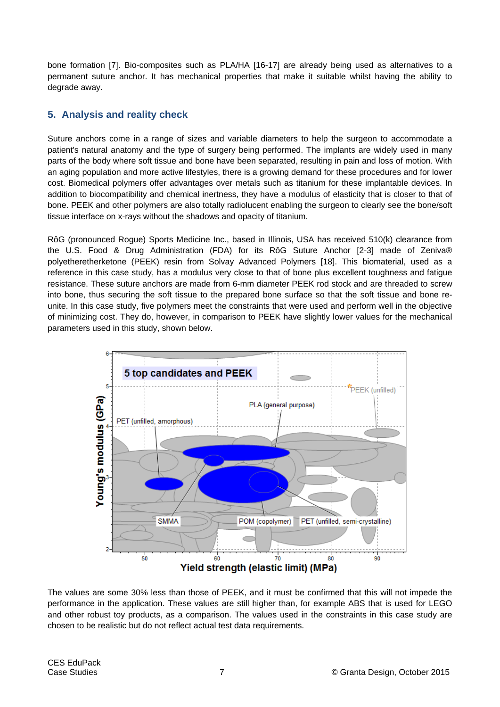bone formation [7]. Bio-composites such as PLA/HA [16-17] are already being used as alternatives to a permanent suture anchor. It has mechanical properties that make it suitable whilst having the ability to degrade away.

# **5. Analysis and reality check**

Suture anchors come in a range of sizes and variable diameters to help the surgeon to accommodate a patient's natural anatomy and the type of surgery being performed. The implants are widely used in many parts of the body where soft tissue and bone have been separated, resulting in pain and loss of motion. With an aging population and more active lifestyles, there is a growing demand for these procedures and for lower cost. Biomedical polymers offer advantages over metals such as titanium for these implantable devices. In addition to biocompatibility and chemical inertness, they have a modulus of elasticity that is closer to that of bone. PEEK and other polymers are also totally radiolucent enabling the surgeon to clearly see the bone/soft tissue interface on x-rays without the shadows and opacity of titanium.

RôG (pronounced Rogue) Sports Medicine Inc., based in Illinois, USA has received 510(k) clearance from the U.S. Food & Drug Administration (FDA) for its RôG Suture Anchor [2-3] made of Zeniva® polyetheretherketone (PEEK) resin from Solvay Advanced Polymers [18]. This biomaterial, used as a reference in this case study, has a modulus very close to that of bone plus excellent toughness and fatigue resistance. These suture anchors are made from 6-mm diameter PEEK rod stock and are threaded to screw into bone, thus securing the soft tissue to the prepared bone surface so that the soft tissue and bone reunite. In this case study, five polymers meet the constraints that were used and perform well in the objective of minimizing cost. They do, however, in comparison to PEEK have slightly lower values for the mechanical parameters used in this study, shown below.

![](_page_6_Figure_4.jpeg)

The values are some 30% less than those of PEEK, and it must be confirmed that this will not impede the performance in the application. These values are still higher than, for example ABS that is used for LEGO and other robust toy products, as a comparison. The values used in the constraints in this case study are chosen to be realistic but do not reflect actual test data requirements.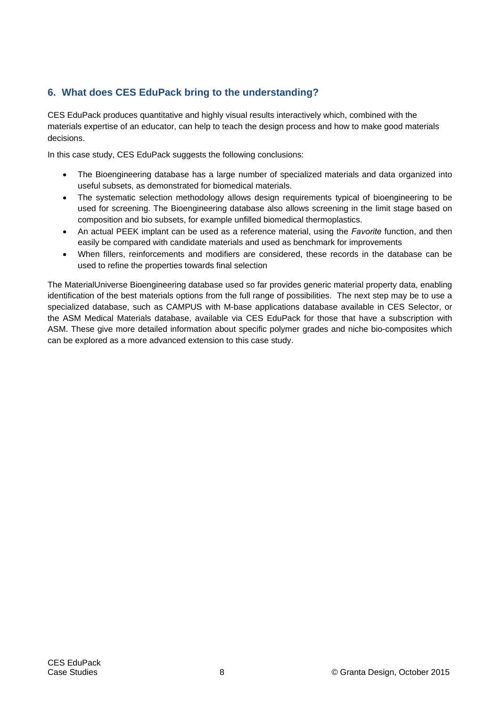# **6. What does CES EduPack bring to the understanding?**

CES EduPack produces quantitative and highly visual results interactively which, combined with the materials expertise of an educator, can help to teach the design process and how to make good materials decisions.

In this case study, CES EduPack suggests the following conclusions:

- The Bioengineering database has a large number of specialized materials and data organized into useful subsets, as demonstrated for biomedical materials.
- The systematic selection methodology allows design requirements typical of bioengineering to be used for screening. The Bioengineering database also allows screening in the limit stage based on composition and bio subsets, for example unfilled biomedical thermoplastics.
- An actual PEEK implant can be used as a reference material, using the *Favorite* function, and then easily be compared with candidate materials and used as benchmark for improvements
- When fillers, reinforcements and modifiers are considered, these records in the database can be used to refine the properties towards final selection

The MaterialUniverse Bioengineering database used so far provides generic material property data, enabling identification of the best materials options from the full range of possibilities. The next step may be to use a specialized database, such as CAMPUS with M-base applications database available in CES Selector, or the ASM Medical Materials database, available via CES EduPack for those that have a subscription with ASM. These give more detailed information about specific polymer grades and niche bio-composites which can be explored as a more advanced extension to this case study.